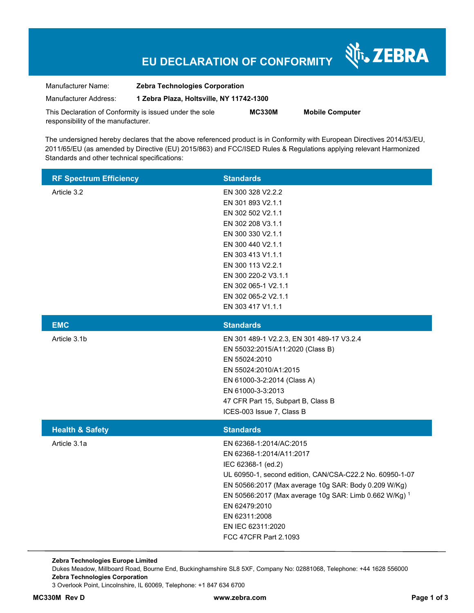## **EU DECLARATION OF CONFORMITY**

Nr. ZEBRA

| Manufacturer Name:                                      | <b>Zebra Technologies Corporation</b>    |               |                        |  |
|---------------------------------------------------------|------------------------------------------|---------------|------------------------|--|
| Manufacturer Address:                                   | 1 Zebra Plaza, Holtsville, NY 11742-1300 |               |                        |  |
| This Declaration of Conformity is issued under the sole |                                          | <b>MC330M</b> | <b>Mobile Computer</b> |  |
| responsibility of the manufacturer.                     |                                          |               |                        |  |

The undersigned hereby declares that the above referenced product is in Conformity with European Directives 2014/53/EU, 2011/65/EU (as amended by Directive (EU) 2015/863) and FCC/ISED Rules & Regulations applying relevant Harmonized Standards and other technical specifications:

| <b>RF Spectrum Efficiency</b> | <b>Standards</b>                                                                                                                                                                                                                                                                                                                        |
|-------------------------------|-----------------------------------------------------------------------------------------------------------------------------------------------------------------------------------------------------------------------------------------------------------------------------------------------------------------------------------------|
| Article 3.2                   | EN 300 328 V2.2.2<br>EN 301 893 V2.1.1<br>EN 302 502 V2.1.1<br>EN 302 208 V3.1.1<br>EN 300 330 V2.1.1<br>EN 300 440 V2.1.1<br>EN 303 413 V1.1.1<br>EN 300 113 V2.2.1<br>EN 300 220-2 V3.1.1<br>EN 302 065-1 V2.1.1<br>EN 302 065-2 V2.1.1<br>EN 303 417 V1.1.1                                                                          |
| <b>EMC</b>                    | <b>Standards</b>                                                                                                                                                                                                                                                                                                                        |
| Article 3.1b                  | EN 301 489-1 V2.2.3, EN 301 489-17 V3.2.4<br>EN 55032:2015/A11:2020 (Class B)<br>EN 55024:2010<br>EN 55024:2010/A1:2015<br>EN 61000-3-2:2014 (Class A)<br>EN 61000-3-3:2013<br>47 CFR Part 15, Subpart B, Class B<br>ICES-003 Issue 7, Class B                                                                                          |
| <b>Health &amp; Safety</b>    | <b>Standards</b>                                                                                                                                                                                                                                                                                                                        |
| Article 3.1a                  | EN 62368-1:2014/AC:2015<br>EN 62368-1:2014/A11:2017<br>IEC 62368-1 (ed.2)<br>UL 60950-1, second edition, CAN/CSA-C22.2 No. 60950-1-07<br>EN 50566:2017 (Max average 10g SAR: Body 0.209 W/Kg)<br>EN 50566:2017 (Max average 10g SAR: Limb 0.662 W/Kg) 1<br>EN 62479:2010<br>EN 62311:2008<br>EN IEC 62311:2020<br>FCC 47CFR Part 2.1093 |

**Zebra Technologies Europe Limited**  Dukes Meadow, Millboard Road, Bourne End, Buckinghamshire SL8 5XF, Company No: 02881068, Telephone: +44 1628 556000 **Zebra Technologies Corporation**  3 Overlook Point, Lincolnshire, IL 60069, Telephone: +1 847 634 6700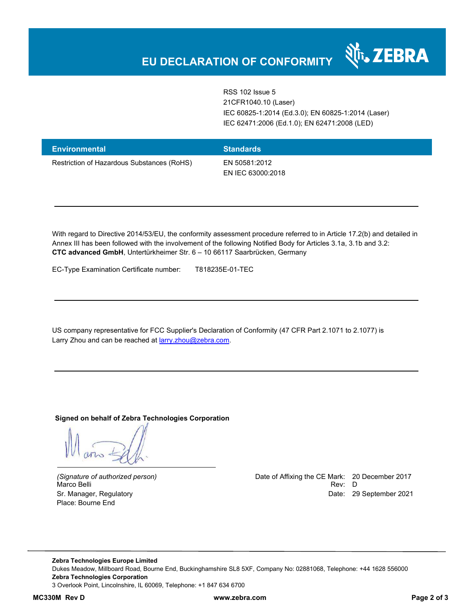RSS 102 Issue 5 21CFR1040.10 (Laser) IEC 60825-1:2014 (Ed.3.0); EN 60825-1:2014 (Laser) IEC 62471:2006 (Ed.1.0); EN 62471:2008 (LED)

र्शे<sub>ं</sub> ZEBRA

| <b>Environmental</b>                       | <b>Standards</b>  |
|--------------------------------------------|-------------------|
| Restriction of Hazardous Substances (RoHS) | EN 50581:2012     |
|                                            | EN IEC 63000:2018 |

With regard to Directive 2014/53/EU, the conformity assessment procedure referred to in Article 17.2(b) and detailed in Annex III has been followed with the involvement of the following Notified Body for Articles 3.1a, 3.1b and 3.2: **CTC advanced GmbH**, Untertürkheimer Str. 6 – 10 66117 Saarbrücken, Germany

EC-Type Examination Certificate number: T818235E-01-TEC

US company representative for FCC Supplier's Declaration of Conformity (47 CFR Part 2.1071 to 2.1077) is Larry Zhou and can be reached at **larry.zhou@zebra.com.** 

**Signed on behalf of Zebra Technologies Corporation** 

Place: Bourne End

*(Signature of authorized person)* Date of Affixing the CE Mark: 20 December 2017 Marco Belli Rev: D Sr. Manager, Regulatory Date: 29 September 2021

**Zebra Technologies Europe Limited**  Dukes Meadow, Millboard Road, Bourne End, Buckinghamshire SL8 5XF, Company No: 02881068, Telephone: +44 1628 556000 **Zebra Technologies Corporation**  3 Overlook Point, Lincolnshire, IL 60069, Telephone: +1 847 634 6700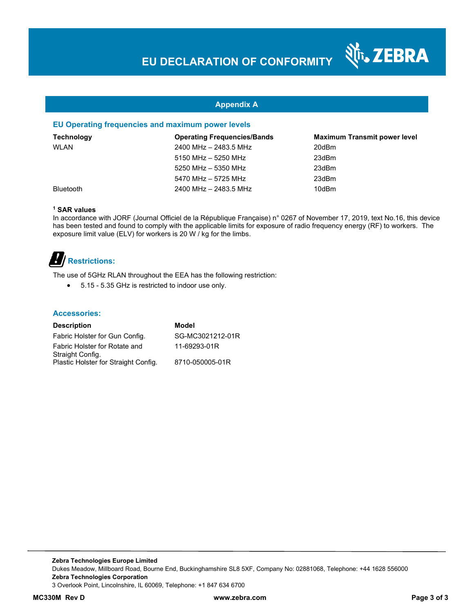N<sub>T</sub>, ZEBRA

#### **Appendix A**

#### **EU Operating frequencies and maximum power levels**

| <b>Technology</b> | <b>Operating Frequencies/Bands</b> | <b>Maximum Transmit power level</b> |
|-------------------|------------------------------------|-------------------------------------|
| <b>WLAN</b>       | 2400 MHz - 2483.5 MHz              | 20dBm                               |
|                   | 5150 MHz - 5250 MHz                | 23dBm                               |
|                   | 5250 MHz - 5350 MHz                | 23dBm                               |
|                   | 5470 MHz - 5725 MHz                | 23dBm                               |
| <b>Bluetooth</b>  | 2400 MHz - 2483.5 MHz              | 10dBm                               |

#### **1 SAR values**

In accordance with JORF (Journal Officiel de la République Française) n° 0267 of November 17, 2019, text No.16, this device has been tested and found to comply with the applicable limits for exposure of radio frequency energy (RF) to workers. The exposure limit value (ELV) for workers is 20 W / kg for the limbs.

# **Restrictions:**

The use of 5GHz RLAN throughout the EEA has the following restriction:

5.15 - 5.35 GHz is restricted to indoor use only.

#### **Accessories:**

| <b>Description</b>                   | Model            |
|--------------------------------------|------------------|
| Fabric Holster for Gun Config.       | SG-MC3021212-01R |
| Fabric Holster for Rotate and        | 11-69293-01R     |
| Straight Config.                     |                  |
| Plastic Holster for Straight Config. | 8710-050005-01R  |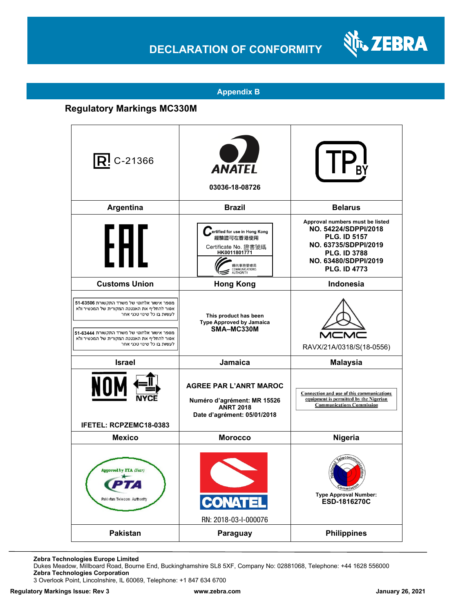## **DECLARATION OF CONFORMITY**



#### **Appendix B**

### **Regulatory Markings MC330M**

| $ R $ C-21366                                                                                                                                                                                                                                   | <b>ANATEL</b><br>03036-18-08726                                                                                                     |                                                                                                                                                                              |
|-------------------------------------------------------------------------------------------------------------------------------------------------------------------------------------------------------------------------------------------------|-------------------------------------------------------------------------------------------------------------------------------------|------------------------------------------------------------------------------------------------------------------------------------------------------------------------------|
| Argentina                                                                                                                                                                                                                                       | <b>Brazil</b>                                                                                                                       | <b>Belarus</b>                                                                                                                                                               |
| ┡┣╢                                                                                                                                                                                                                                             | ertified for use in Hong Kong<br>經驗證可在香港使用<br>Certificate No. 證書號碼<br>HK0011801771<br>通訊事務管理局<br>COMMUNICATIONS<br><b>AUTHORITY</b> | Approval numbers must be listed<br>NO. 54224/SDPPI/2018<br><b>PLG. ID 5157</b><br>NO. 63735/SDPPI/2019<br><b>PLG. ID 3788</b><br>NO. 63480/SDPPI/2019<br><b>PLG. ID 4773</b> |
| <b>Customs Union</b>                                                                                                                                                                                                                            | <b>Hong Kong</b>                                                                                                                    | <b>Indonesia</b>                                                                                                                                                             |
| מספר אישור אלחוטי של משרד התקשורת 63506-51<br>אסור להחליף את האנטנה המקורית של המכשיר ולא<br>לעשות בו כל שינוי טכני אחר<br>מספר אישור אלחוטי של משרד התקשורת 63444<br>אסור להחליף את האנטנה המקורית של המכשיר ולא<br>לעשות בו כל שינוי טכני אחר | This product has been<br><b>Type Approved by Jamaica</b><br>SMA-MC330M                                                              | RAVX/21A/0318/S(18-0556)                                                                                                                                                     |
| <b>Israel</b>                                                                                                                                                                                                                                   | Jamaica                                                                                                                             | <b>Malaysia</b>                                                                                                                                                              |
| NOI<br>IFETEL: RCPZEMC18-0383                                                                                                                                                                                                                   | <b>AGREE PAR L'ANRT MAROC</b><br>Numéro d'agrément: MR 15526<br><b>ANRT 2018</b><br>Date d'agrément: 05/01/2018                     | Connection and use of this communications<br>equipment is permitted by the Nigerian<br><b>Communications Commission</b>                                                      |
| <b>Mexico</b>                                                                                                                                                                                                                                   | <b>Morocco</b>                                                                                                                      | Nigeria                                                                                                                                                                      |
| Approved by PTA (Year)<br>Paki stan Telecom Authority                                                                                                                                                                                           | <b>CONATEL</b><br>RN: 2018-03-I-000076                                                                                              | <b>Ommiss</b><br><b>Type Approval Number:</b><br>ESD-1816270C                                                                                                                |
| Pakistan                                                                                                                                                                                                                                        | Paraguay                                                                                                                            | <b>Philippines</b>                                                                                                                                                           |

**Zebra Technologies Europe Limited**

Dukes Meadow, Millboard Road, Bourne End, Buckinghamshire SL8 5XF, Company No: 02881068, Telephone: +44 1628 556000 **Zebra Technologies Corporation** 

3 Overlook Point, Lincolnshire, IL 60069, Telephone: +1 847 634 6700